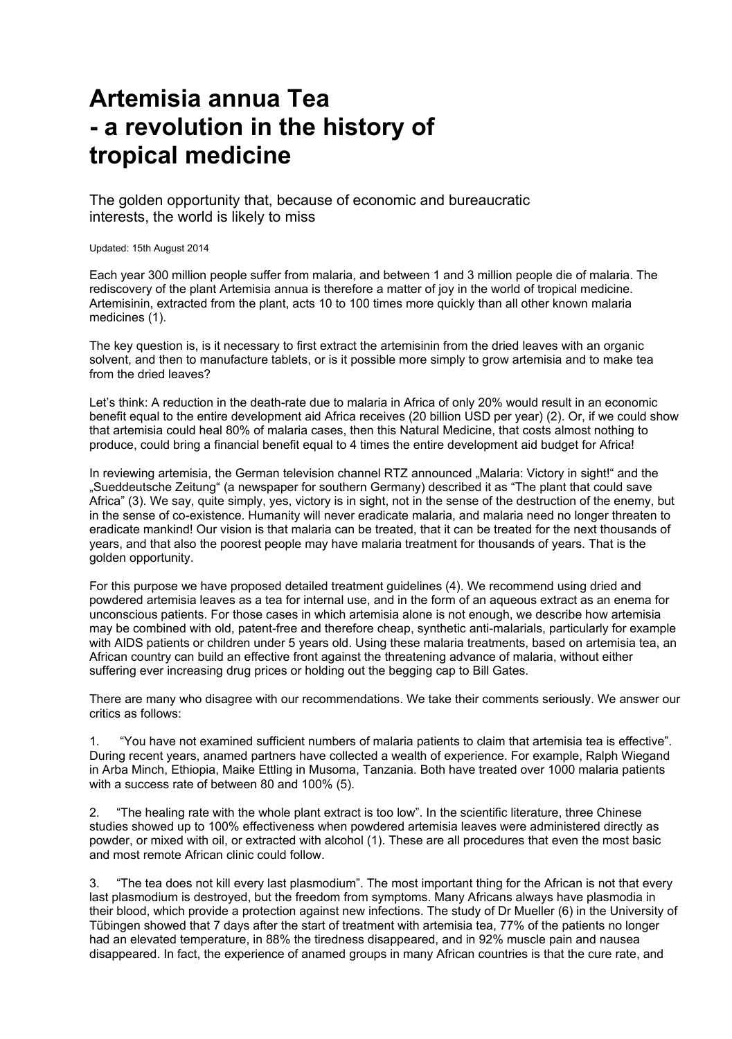## **Artemisia annua Tea - a revolution in the history of tropical medicine**

The golden opportunity that, because of economic and bureaucratic interests, the world is likely to miss

Updated: 15th August 2014

Each year 300 million people suffer from malaria, and between 1 and 3 million people die of malaria. The rediscovery of the plant Artemisia annua is therefore a matter of joy in the world of tropical medicine. Artemisinin, extracted from the plant, acts 10 to 100 times more quickly than all other known malaria medicines (1).

The key question is, is it necessary to first extract the artemisinin from the dried leaves with an organic solvent, and then to manufacture tablets, or is it possible more simply to grow artemisia and to make tea from the dried leaves?

Let's think: A reduction in the death-rate due to malaria in Africa of only 20% would result in an economic benefit equal to the entire development aid Africa receives (20 billion USD per year) (2). Or, if we could show that artemisia could heal 80% of malaria cases, then this Natural Medicine, that costs almost nothing to produce, could bring a financial benefit equal to 4 times the entire development aid budget for Africa!

In reviewing artemisia, the German television channel RTZ announced "Malaria: Victory in sight!" and the "Sueddeutsche Zeitung" (a newspaper for southern Germany) described it as "The plant that could save Africa" (3). We say, quite simply, yes, victory is in sight, not in the sense of the destruction of the enemy, but in the sense of co-existence. Humanity will never eradicate malaria, and malaria need no longer threaten to eradicate mankind! Our vision is that malaria can be treated, that it can be treated for the next thousands of years, and that also the poorest people may have malaria treatment for thousands of years. That is the golden opportunity.

For this purpose we have proposed detailed treatment guidelines (4). We recommend using dried and powdered artemisia leaves as a tea for internal use, and in the form of an aqueous extract as an enema for unconscious patients. For those cases in which artemisia alone is not enough, we describe how artemisia may be combined with old, patent-free and therefore cheap, synthetic anti-malarials, particularly for example with AIDS patients or children under 5 years old. Using these malaria treatments, based on artemisia tea, an African country can build an effective front against the threatening advance of malaria, without either suffering ever increasing drug prices or holding out the begging cap to Bill Gates.

There are many who disagree with our recommendations. We take their comments seriously. We answer our critics as follows:

1. "You have not examined sufficient numbers of malaria patients to claim that artemisia tea is effective". During recent years, anamed partners have collected a wealth of experience. For example, Ralph Wiegand in Arba Minch, Ethiopia, Maike Ettling in Musoma, Tanzania. Both have treated over 1000 malaria patients with a success rate of between 80 and 100% (5).

2. "The healing rate with the whole plant extract is too low". In the scientific literature, three Chinese studies showed up to 100% effectiveness when powdered artemisia leaves were administered directly as powder, or mixed with oil, or extracted with alcohol (1). These are all procedures that even the most basic and most remote African clinic could follow.

3. "The tea does not kill every last plasmodium". The most important thing for the African is not that every last plasmodium is destroyed, but the freedom from symptoms. Many Africans always have plasmodia in their blood, which provide a protection against new infections. The study of Dr Mueller (6) in the University of Tübingen showed that 7 days after the start of treatment with artemisia tea, 77% of the patients no longer had an elevated temperature, in 88% the tiredness disappeared, and in 92% muscle pain and nausea disappeared. In fact, the experience of anamed groups in many African countries is that the cure rate, and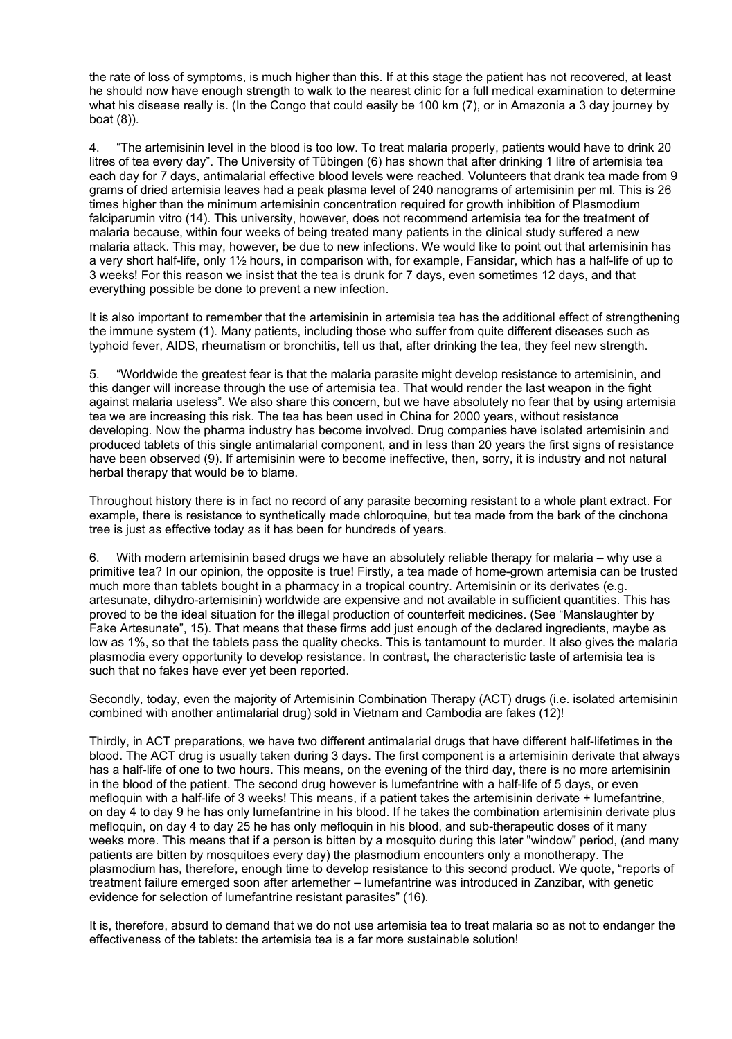the rate of loss of symptoms, is much higher than this. If at this stage the patient has not recovered, at least he should now have enough strength to walk to the nearest clinic for a full medical examination to determine what his disease really is. (In the Congo that could easily be 100 km (7), or in Amazonia a 3 day journey by boat (8)).

4. "The artemisinin level in the blood is too low. To treat malaria properly, patients would have to drink 20 litres of tea every day". The University of Tübingen (6) has shown that after drinking 1 litre of artemisia tea each day for 7 days, antimalarial effective blood levels were reached. Volunteers that drank tea made from 9 grams of dried artemisia leaves had a peak plasma level of 240 nanograms of artemisinin per ml. This is 26 times higher than the minimum artemisinin concentration required for growth inhibition of Plasmodium falciparumin vitro (14). This university, however, does not recommend artemisia tea for the treatment of malaria because, within four weeks of being treated many patients in the clinical study suffered a new malaria attack. This may, however, be due to new infections. We would like to point out that artemisinin has a very short half-life, only 1½ hours, in comparison with, for example, Fansidar, which has a half-life of up to 3 weeks! For this reason we insist that the tea is drunk for 7 days, even sometimes 12 days, and that everything possible be done to prevent a new infection.

It is also important to remember that the artemisinin in artemisia tea has the additional effect of strengthening the immune system (1). Many patients, including those who suffer from quite different diseases such as typhoid fever, AIDS, rheumatism or bronchitis, tell us that, after drinking the tea, they feel new strength.

5. "Worldwide the greatest fear is that the malaria parasite might develop resistance to artemisinin, and this danger will increase through the use of artemisia tea. That would render the last weapon in the fight against malaria useless". We also share this concern, but we have absolutely no fear that by using artemisia tea we are increasing this risk. The tea has been used in China for 2000 years, without resistance developing. Now the pharma industry has become involved. Drug companies have isolated artemisinin and produced tablets of this single antimalarial component, and in less than 20 years the first signs of resistance have been observed (9). If artemisinin were to become ineffective, then, sorry, it is industry and not natural herbal therapy that would be to blame.

Throughout history there is in fact no record of any parasite becoming resistant to a whole plant extract. For example, there is resistance to synthetically made chloroquine, but tea made from the bark of the cinchona tree is just as effective today as it has been for hundreds of years.

6. With modern artemisinin based drugs we have an absolutely reliable therapy for malaria – why use a primitive tea? In our opinion, the opposite is true! Firstly, a tea made of home-grown artemisia can be trusted much more than tablets bought in a pharmacy in a tropical country. Artemisinin or its derivates (e.g. artesunate, dihydro-artemisinin) worldwide are expensive and not available in sufficient quantities. This has proved to be the ideal situation for the illegal production of counterfeit medicines. (See "Manslaughter by Fake Artesunate", 15). That means that these firms add just enough of the declared ingredients, maybe as low as 1%, so that the tablets pass the quality checks. This is tantamount to murder. It also gives the malaria plasmodia every opportunity to develop resistance. In contrast, the characteristic taste of artemisia tea is such that no fakes have ever yet been reported.

Secondly, today, even the majority of Artemisinin Combination Therapy (ACT) drugs (i.e. isolated artemisinin combined with another antimalarial drug) sold in Vietnam and Cambodia are fakes (12)!

Thirdly, in ACT preparations, we have two different antimalarial drugs that have different half-lifetimes in the blood. The ACT drug is usually taken during 3 days. The first component is a artemisinin derivate that always has a half-life of one to two hours. This means, on the evening of the third day, there is no more artemisinin in the blood of the patient. The second drug however is lumefantrine with a half-life of 5 days, or even mefloquin with a half-life of 3 weeks! This means, if a patient takes the artemisinin derivate + lumefantrine, on day 4 to day 9 he has only lumefantrine in his blood. If he takes the combination artemisinin derivate plus mefloquin, on day 4 to day 25 he has only mefloquin in his blood, and sub-therapeutic doses of it many weeks more. This means that if a person is bitten by a mosquito during this later "window" period, (and many patients are bitten by mosquitoes every day) the plasmodium encounters only a monotherapy. The plasmodium has, therefore, enough time to develop resistance to this second product. We quote, "reports of treatment failure emerged soon after artemether – lumefantrine was introduced in Zanzibar, with genetic evidence for selection of lumefantrine resistant parasites" (16).

It is, therefore, absurd to demand that we do not use artemisia tea to treat malaria so as not to endanger the effectiveness of the tablets: the artemisia tea is a far more sustainable solution!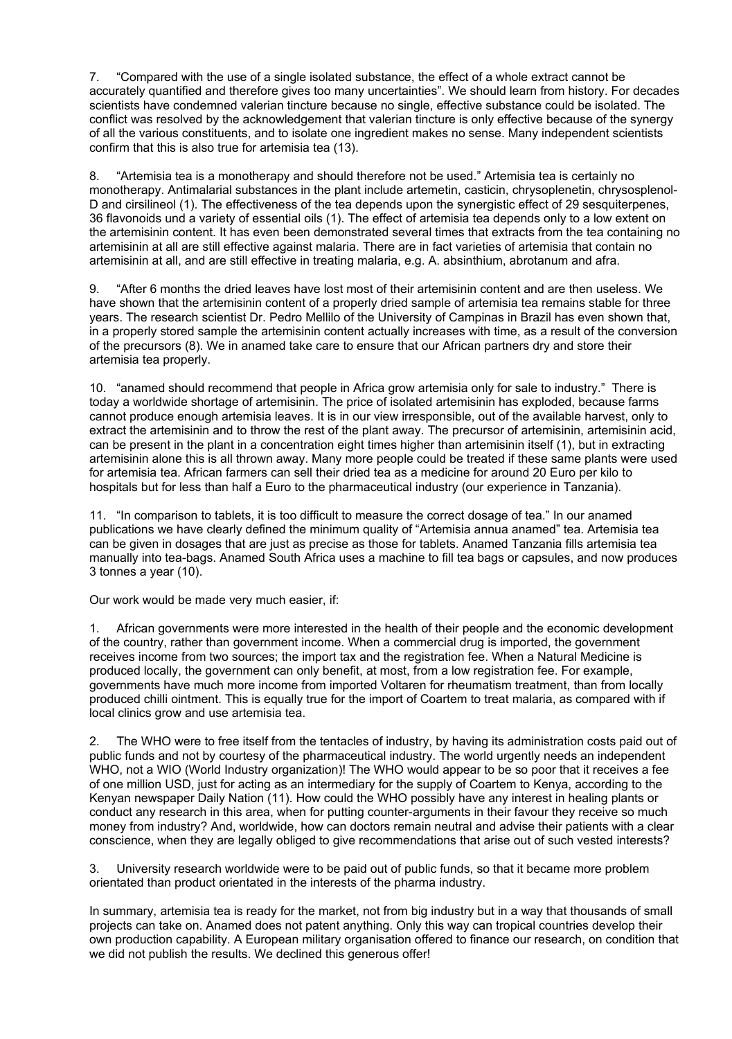7. "Compared with the use of a single isolated substance, the effect of a whole extract cannot be accurately quantified and therefore gives too many uncertainties". We should learn from history. For decades scientists have condemned valerian tincture because no single, effective substance could be isolated. The conflict was resolved by the acknowledgement that valerian tincture is only effective because of the synergy of all the various constituents, and to isolate one ingredient makes no sense. Many independent scientists confirm that this is also true for artemisia tea (13).

8. "Artemisia tea is a monotherapy and should therefore not be used." Artemisia tea is certainly no monotherapy. Antimalarial substances in the plant include artemetin, casticin, chrysoplenetin, chrysosplenol-D and cirsilineol (1). The effectiveness of the tea depends upon the synergistic effect of 29 sesquiterpenes, 36 flavonoids und a variety of essential oils (1). The effect of artemisia tea depends only to a low extent on the artemisinin content. It has even been demonstrated several times that extracts from the tea containing no artemisinin at all are still effective against malaria. There are in fact varieties of artemisia that contain no artemisinin at all, and are still effective in treating malaria, e.g. A. absinthium, abrotanum and afra.

9. "After 6 months the dried leaves have lost most of their artemisinin content and are then useless. We have shown that the artemisinin content of a properly dried sample of artemisia tea remains stable for three years. The research scientist Dr. Pedro Mellilo of the University of Campinas in Brazil has even shown that, in a properly stored sample the artemisinin content actually increases with time, as a result of the conversion of the precursors (8). We in anamed take care to ensure that our African partners dry and store their artemisia tea properly.

10. "anamed should recommend that people in Africa grow artemisia only for sale to industry." There is today a worldwide shortage of artemisinin. The price of isolated artemisinin has exploded, because farms cannot produce enough artemisia leaves. It is in our view irresponsible, out of the available harvest, only to extract the artemisinin and to throw the rest of the plant away. The precursor of artemisinin, artemisinin acid, can be present in the plant in a concentration eight times higher than artemisinin itself (1), but in extracting artemisinin alone this is all thrown away. Many more people could be treated if these same plants were used for artemisia tea. African farmers can sell their dried tea as a medicine for around 20 Euro per kilo to hospitals but for less than half a Euro to the pharmaceutical industry (our experience in Tanzania).

11. "In comparison to tablets, it is too difficult to measure the correct dosage of tea." In our anamed publications we have clearly defined the minimum quality of "Artemisia annua anamed" tea. Artemisia tea can be given in dosages that are just as precise as those for tablets. Anamed Tanzania fills artemisia tea manually into tea-bags. Anamed South Africa uses a machine to fill tea bags or capsules, and now produces 3 tonnes a year (10).

Our work would be made very much easier, if:

1. African governments were more interested in the health of their people and the economic development of the country, rather than government income. When a commercial drug is imported, the government receives income from two sources; the import tax and the registration fee. When a Natural Medicine is produced locally, the government can only benefit, at most, from a low registration fee. For example, governments have much more income from imported Voltaren for rheumatism treatment, than from locally produced chilli ointment. This is equally true for the import of Coartem to treat malaria, as compared with if local clinics grow and use artemisia tea.

2. The WHO were to free itself from the tentacles of industry, by having its administration costs paid out of public funds and not by courtesy of the pharmaceutical industry. The world urgently needs an independent WHO, not a WIO (World Industry organization)! The WHO would appear to be so poor that it receives a fee of one million USD, just for acting as an intermediary for the supply of Coartem to Kenya, according to the Kenyan newspaper Daily Nation (11). How could the WHO possibly have any interest in healing plants or conduct any research in this area, when for putting counter-arguments in their favour they receive so much money from industry? And, worldwide, how can doctors remain neutral and advise their patients with a clear conscience, when they are legally obliged to give recommendations that arise out of such vested interests?

3. University research worldwide were to be paid out of public funds, so that it became more problem orientated than product orientated in the interests of the pharma industry.

In summary, artemisia tea is ready for the market, not from big industry but in a way that thousands of small projects can take on. Anamed does not patent anything. Only this way can tropical countries develop their own production capability. A European military organisation offered to finance our research, on condition that we did not publish the results. We declined this generous offer!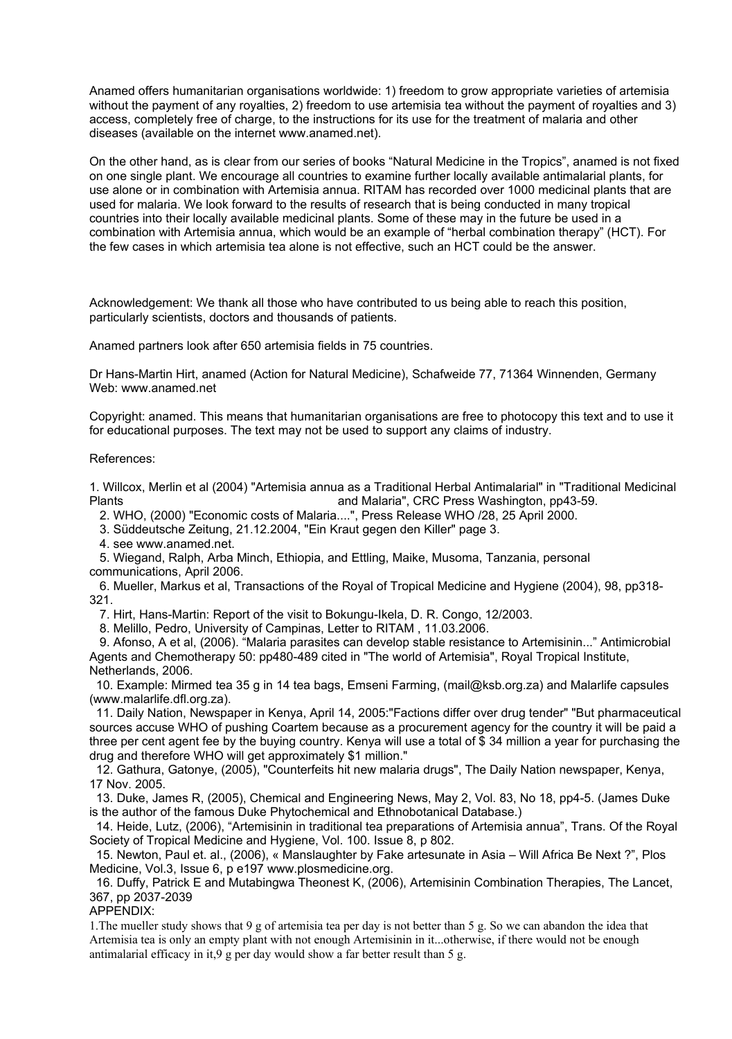Anamed offers humanitarian organisations worldwide: 1) freedom to grow appropriate varieties of artemisia without the payment of any royalties, 2) freedom to use artemisia tea without the payment of royalties and 3) access, completely free of charge, to the instructions for its use for the treatment of malaria and other diseases (available on the internet www.anamed.net).

On the other hand, as is clear from our series of books "Natural Medicine in the Tropics", anamed is not fixed on one single plant. We encourage all countries to examine further locally available antimalarial plants, for use alone or in combination with Artemisia annua. RITAM has recorded over 1000 medicinal plants that are used for malaria. We look forward to the results of research that is being conducted in many tropical countries into their locally available medicinal plants. Some of these may in the future be used in a combination with Artemisia annua, which would be an example of "herbal combination therapy" (HCT). For the few cases in which artemisia tea alone is not effective, such an HCT could be the answer.

Acknowledgement: We thank all those who have contributed to us being able to reach this position, particularly scientists, doctors and thousands of patients.

Anamed partners look after 650 artemisia fields in 75 countries.

Dr Hans-Martin Hirt, anamed (Action for Natural Medicine), Schafweide 77, 71364 Winnenden, Germany Web: www.anamed.net

Copyright: anamed. This means that humanitarian organisations are free to photocopy this text and to use it for educational purposes. The text may not be used to support any claims of industry.

## References:

1. Willcox, Merlin et al (2004) "Artemisia annua as a Traditional Herbal Antimalarial" in "Traditional Medicinal Plants and Malaria", CRC Press Washington, pp43-59.

2. WHO, (2000) "Economic costs of Malaria....", Press Release WHO /28, 25 April 2000.

3. Süddeutsche Zeitung, 21.12.2004, "Ein Kraut gegen den Killer" page 3.

4. see www.anamed.net.

 5. Wiegand, Ralph, Arba Minch, Ethiopia, and Ettling, Maike, Musoma, Tanzania, personal communications, April 2006.

 6. Mueller, Markus et al, Transactions of the Royal of Tropical Medicine and Hygiene (2004), 98, pp318- 321.

7. Hirt, Hans-Martin: Report of the visit to Bokungu-Ikela, D. R. Congo, 12/2003.

8. Melillo, Pedro, University of Campinas, Letter to RITAM , 11.03.2006.

 9. Afonso, A et al, (2006). "Malaria parasites can develop stable resistance to Artemisinin..." Antimicrobial Agents and Chemotherapy 50: pp480-489 cited in "The world of Artemisia", Royal Tropical Institute, Netherlands, 2006.

 10. Example: Mirmed tea 35 g in 14 tea bags, Emseni Farming, (mail@ksb.org.za) and Malarlife capsules (www.malarlife.dfl.org.za).

 11. Daily Nation, Newspaper in Kenya, April 14, 2005:"Factions differ over drug tender" "But pharmaceutical sources accuse WHO of pushing Coartem because as a procurement agency for the country it will be paid a three per cent agent fee by the buying country. Kenya will use a total of \$ 34 million a year for purchasing the drug and therefore WHO will get approximately \$1 million."

 12. Gathura, Gatonye, (2005), "Counterfeits hit new malaria drugs", The Daily Nation newspaper, Kenya, 17 Nov. 2005.

 13. Duke, James R, (2005), Chemical and Engineering News, May 2, Vol. 83, No 18, pp4-5. (James Duke is the author of the famous Duke Phytochemical and Ethnobotanical Database.)

 14. Heide, Lutz, (2006), "Artemisinin in traditional tea preparations of Artemisia annua", Trans. Of the Royal Society of Tropical Medicine and Hygiene, Vol. 100. Issue 8, p 802.

 15. Newton, Paul et. al., (2006), « Manslaughter by Fake artesunate in Asia – Will Africa Be Next ?", Plos Medicine, Vol.3, Issue 6, p e197 www.plosmedicine.org.

 16. Duffy, Patrick E and Mutabingwa Theonest K, (2006), Artemisinin Combination Therapies, The Lancet, 367, pp 2037-2039

APPENDIX:

1.The mueller study shows that 9 g of artemisia tea per day is not better than 5 g. So we can abandon the idea that Artemisia tea is only an empty plant with not enough Artemisinin in it...otherwise, if there would not be enough antimalarial efficacy in it,9 g per day would show a far better result than 5 g.